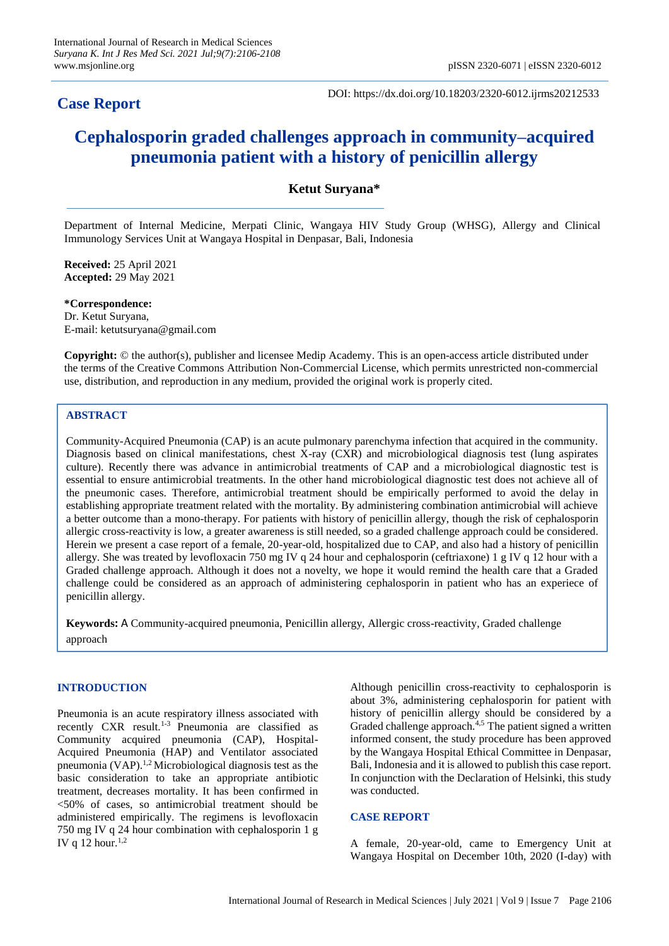## **Case Report**

DOI: https://dx.doi.org/10.18203/2320-6012.ijrms20212533

# **Cephalosporin graded challenges approach in community–acquired pneumonia patient with a history of penicillin allergy**

## **Ketut Suryana\***

Department of Internal Medicine, Merpati Clinic, Wangaya HIV Study Group (WHSG), Allergy and Clinical Immunology Services Unit at Wangaya Hospital in Denpasar, Bali, Indonesia

**Received:** 25 April 2021 **Accepted:** 29 May 2021

**\*Correspondence:** Dr. Ketut Suryana, E-mail: ketutsuryana@gmail.com

**Copyright:** © the author(s), publisher and licensee Medip Academy. This is an open-access article distributed under the terms of the Creative Commons Attribution Non-Commercial License, which permits unrestricted non-commercial use, distribution, and reproduction in any medium, provided the original work is properly cited.

## **ABSTRACT**

Community-Acquired Pneumonia (CAP) is an acute pulmonary parenchyma infection that acquired in the community. Diagnosis based on clinical manifestations, chest X-ray (CXR) and microbiological diagnosis test (lung aspirates culture). Recently there was advance in antimicrobial treatments of CAP and a microbiological diagnostic test is essential to ensure antimicrobial treatments. In the other hand microbiological diagnostic test does not achieve all of the pneumonic cases. Therefore, antimicrobial treatment should be empirically performed to avoid the delay in establishing appropriate treatment related with the mortality. By administering combination antimicrobial will achieve a better outcome than a mono-therapy. For patients with history of penicillin allergy, though the risk of cephalosporin allergic cross-reactivity is low, a greater awareness is still needed, so a graded challenge approach could be considered. Herein we present a case report of a female, 20-year-old, hospitalized due to CAP, and also had a history of penicillin allergy. She was treated by levofloxacin 750 mg IV q 24 hour and cephalosporin (ceftriaxone) 1 g IV q 12 hour with a Graded challenge approach. Although it does not a novelty, we hope it would remind the health care that a Graded challenge could be considered as an approach of administering cephalosporin in patient who has an experiece of penicillin allergy.

**Keywords:** A Community-acquired pneumonia, Penicillin allergy, Allergic cross-reactivity, Graded challenge approach

## **INTRODUCTION**

Pneumonia is an acute respiratory illness associated with recently CXR result.1-3 Pneumonia are classified as Community acquired pneumonia (CAP), Hospital-Acquired Pneumonia (HAP) and Ventilator associated pneumonia  $(VAP)$ <sup>1,2</sup> Microbiological diagnosis test as the basic consideration to take an appropriate antibiotic treatment, decreases mortality. It has been confirmed in <50% of cases, so antimicrobial treatment should be administered empirically. The regimens is levofloxacin 750 mg IV q 24 hour combination with cephalosporin 1 g IV q 12 hour. $1,2$ 

Although penicillin cross-reactivity to cephalosporin is about 3%, administering cephalosporin for patient with history of penicillin allergy should be considered by a Graded challenge approach.<sup>4,5</sup> The patient signed a written informed consent, the study procedure has been approved by the Wangaya Hospital Ethical Committee in Denpasar, Bali, Indonesia and it is allowed to publish this case report. In conjunction with the Declaration of Helsinki, this study was conducted.

## **CASE REPORT**

A female, 20-year-old, came to Emergency Unit at Wangaya Hospital on December 10th, 2020 (I-day) with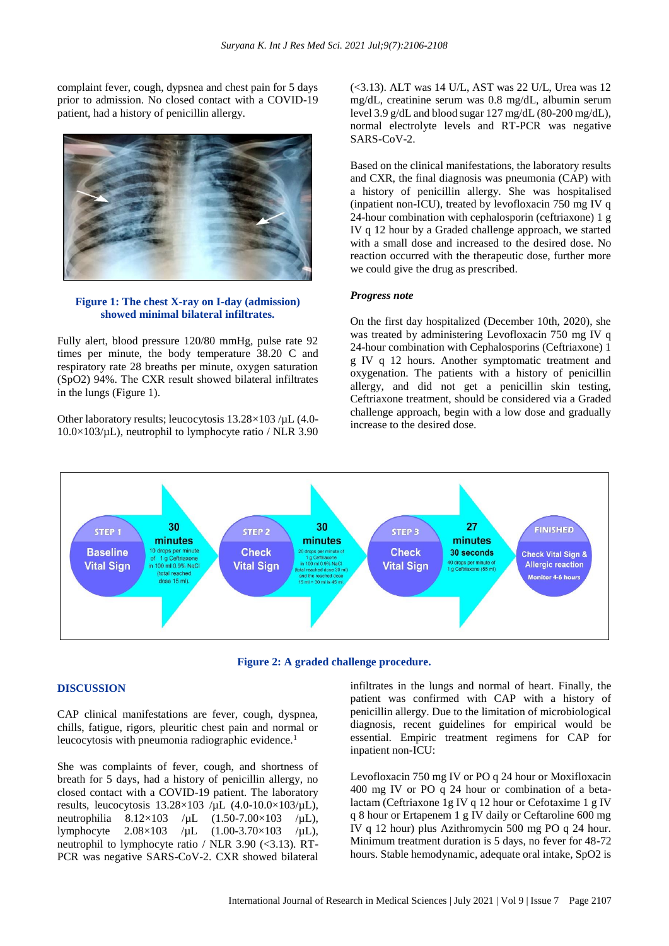complaint fever, cough, dypsnea and chest pain for 5 days prior to admission. No closed contact with a COVID-19 patient, had a history of penicillin allergy.



#### **Figure 1: The chest X-ray on I-day (admission) showed minimal bilateral infiltrates.**

Fully alert, blood pressure 120/80 mmHg, pulse rate 92 times per minute, the body temperature 38.20 C and respiratory rate 28 breaths per minute, oxygen saturation (SpO2) 94%. The CXR result showed bilateral infiltrates in the lungs (Figure 1).

Other laboratory results; leucocytosis 13.28×103 /µL (4.0-  $10.0\times103/\mu L$ ), neutrophil to lymphocyte ratio / NLR 3.90 (<3.13). ALT was 14 U/L, AST was 22 U/L, Urea was 12 mg/dL, creatinine serum was 0.8 mg/dL, albumin serum level 3.9 g/dL and blood sugar 127 mg/dL (80-200 mg/dL), normal electrolyte levels and RT-PCR was negative SARS-CoV-2.

Based on the clinical manifestations, the laboratory results and CXR, the final diagnosis was pneumonia (CAP) with a history of penicillin allergy. She was hospitalised (inpatient non-ICU), treated by levofloxacin 750 mg IV q 24-hour combination with cephalosporin (ceftriaxone) 1 g IV q 12 hour by a Graded challenge approach, we started with a small dose and increased to the desired dose. No reaction occurred with the therapeutic dose, further more we could give the drug as prescribed.

#### *Progress note*

On the first day hospitalized (December 10th, 2020), she was treated by administering Levofloxacin 750 mg IV q 24-hour combination with Cephalosporins (Ceftriaxone) 1 g IV q 12 hours. Another symptomatic treatment and oxygenation. The patients with a history of penicillin allergy, and did not get a penicillin skin testing, Ceftriaxone treatment, should be considered via a Graded challenge approach, begin with a low dose and gradually increase to the desired dose.



**Figure 2: A graded challenge procedure.**

#### **DISCUSSION**

CAP clinical manifestations are fever, cough, dyspnea, chills, fatigue, rigors, pleuritic chest pain and normal or leucocytosis with pneumonia radiographic evidence.<sup>1</sup>

She was complaints of fever, cough, and shortness of breath for 5 days, had a history of penicillin allergy, no closed contact with a COVID-19 patient. The laboratory results, leucocytosis  $13.28 \times 103$  /µL (4.0-10.0×103/µL), neutrophilia  $8.12 \times 103$  /µL  $(1.50 - 7.00 \times 103$  /µL), lymphocyte 2.08×103 /µL (1.00-3.70×103 /µL), neutrophil to lymphocyte ratio / NLR 3.90 (<3.13). RT-PCR was negative SARS-CoV-2. CXR showed bilateral infiltrates in the lungs and normal of heart. Finally, the patient was confirmed with CAP with a history of penicillin allergy. Due to the limitation of microbiological diagnosis, recent guidelines for empirical would be essential. Empiric treatment regimens for CAP for inpatient non-ICU:

Levofloxacin 750 mg IV or PO q 24 hour or Moxifloxacin 400 mg IV or PO q 24 hour or combination of a betalactam (Ceftriaxone 1g IV q 12 hour or Cefotaxime 1 g IV q 8 hour or Ertapenem 1 g IV daily or Ceftaroline 600 mg IV q 12 hour) plus Azithromycin 500 mg PO q 24 hour. Minimum treatment duration is 5 days, no fever for 48-72 hours. Stable hemodynamic, adequate oral intake, SpO2 is